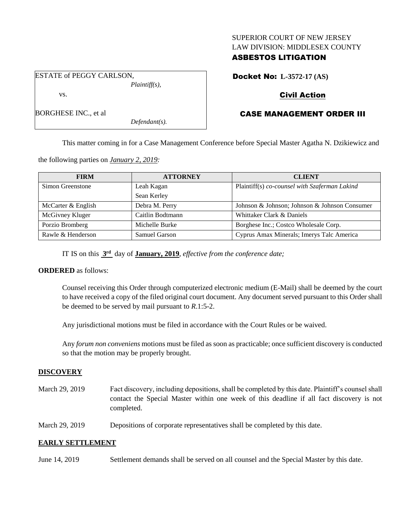### SUPERIOR COURT OF NEW JERSEY LAW DIVISION: MIDDLESEX COUNTY

# ASBESTOS LITIGATION

ESTATE of PEGGY CARLSON, *Plaintiff(s),*

vs.

BORGHESE INC., et al

Docket No: **L-3572-17 (AS)**

# Civil Action

# CASE MANAGEMENT ORDER III

This matter coming in for a Case Management Conference before Special Master Agatha N. Dzikiewicz and

the following parties on *January 2, 2019:*

| <b>FIRM</b>        | <b>ATTORNEY</b>  | <b>CLIENT</b>                                 |
|--------------------|------------------|-----------------------------------------------|
| Simon Greenstone   | Leah Kagan       | Plaintiff(s) co-counsel with Szaferman Lakind |
|                    | Sean Kerley      |                                               |
| McCarter & English | Debra M. Perry   | Johnson & Johnson; Johnson & Johnson Consumer |
| McGivney Kluger    | Caitlin Bodtmann | Whittaker Clark & Daniels                     |
| Porzio Bromberg    | Michelle Burke   | Borghese Inc.; Costco Wholesale Corp.         |
| Rawle & Henderson  | Samuel Garson    | Cyprus Amax Minerals; Imerys Talc America     |

IT IS on this **3 rd** day of **January, 2019**, *effective from the conference date;*

*Defendant(s).*

## **ORDERED** as follows:

Counsel receiving this Order through computerized electronic medium (E-Mail) shall be deemed by the court to have received a copy of the filed original court document. Any document served pursuant to this Order shall be deemed to be served by mail pursuant to *R*.1:5-2.

Any jurisdictional motions must be filed in accordance with the Court Rules or be waived.

Any *forum non conveniens* motions must be filed as soon as practicable; once sufficient discovery is conducted so that the motion may be properly brought.

## **DISCOVERY**

- March 29, 2019 Fact discovery, including depositions, shall be completed by this date. Plaintiff's counsel shall contact the Special Master within one week of this deadline if all fact discovery is not completed.
- March 29, 2019 Depositions of corporate representatives shall be completed by this date.

## **EARLY SETTLEMENT**

June 14, 2019 Settlement demands shall be served on all counsel and the Special Master by this date.